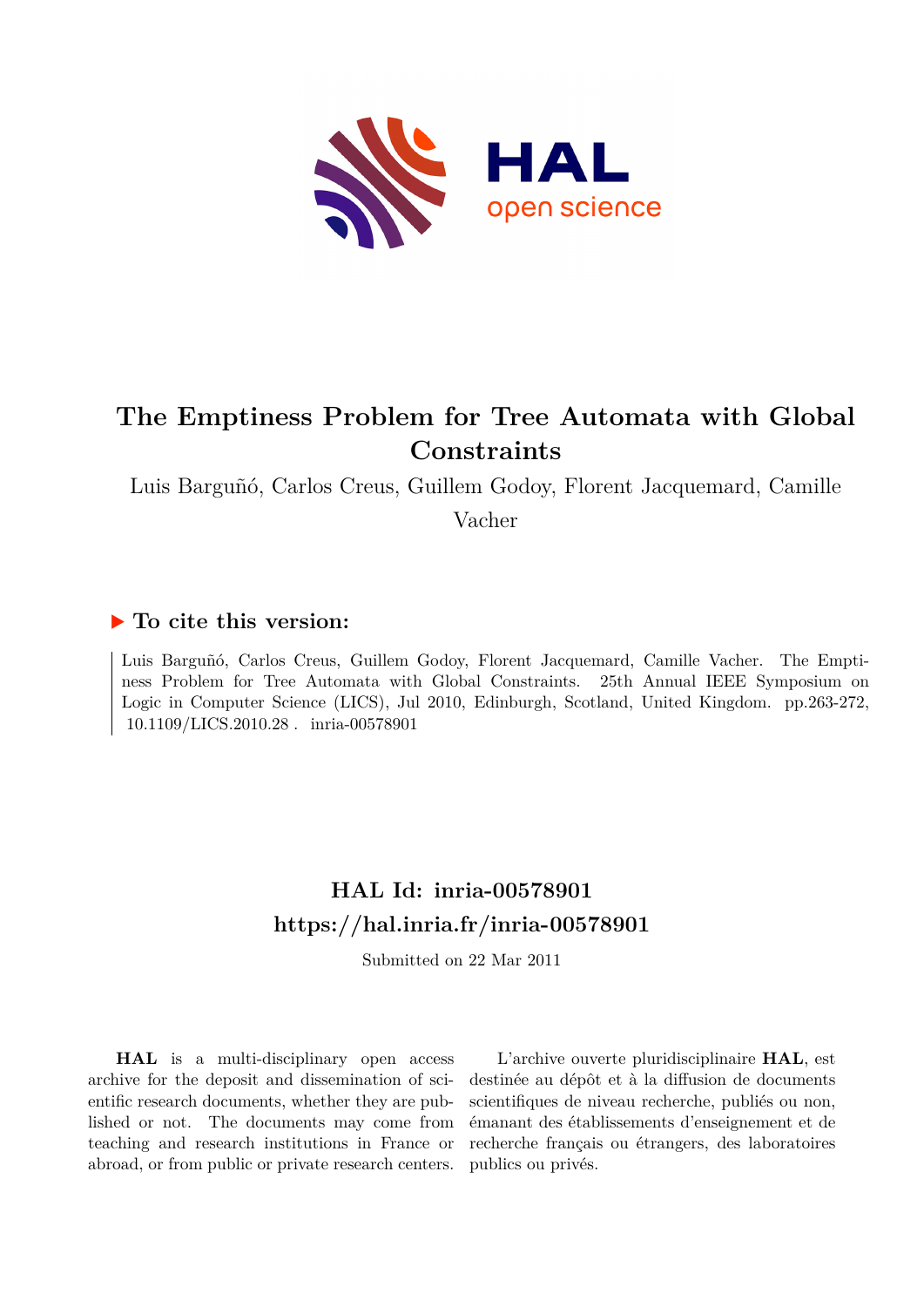

# **The Emptiness Problem for Tree Automata with Global Constraints**

Luis Barguñó, Carlos Creus, Guillem Godoy, Florent Jacquemard, Camille Vacher

### **To cite this version:**

Luis Barguñó, Carlos Creus, Guillem Godoy, Florent Jacquemard, Camille Vacher. The Emptiness Problem for Tree Automata with Global Constraints. 25th Annual IEEE Symposium on Logic in Computer Science (LICS), Jul 2010, Edinburgh, Scotland, United Kingdom. pp.263-272, 10.1109/LICS.2010.28 . inria-00578901

## **HAL Id: inria-00578901 <https://hal.inria.fr/inria-00578901>**

Submitted on 22 Mar 2011

**HAL** is a multi-disciplinary open access archive for the deposit and dissemination of scientific research documents, whether they are published or not. The documents may come from teaching and research institutions in France or abroad, or from public or private research centers.

L'archive ouverte pluridisciplinaire **HAL**, est destinée au dépôt et à la diffusion de documents scientifiques de niveau recherche, publiés ou non, émanant des établissements d'enseignement et de recherche français ou étrangers, des laboratoires publics ou privés.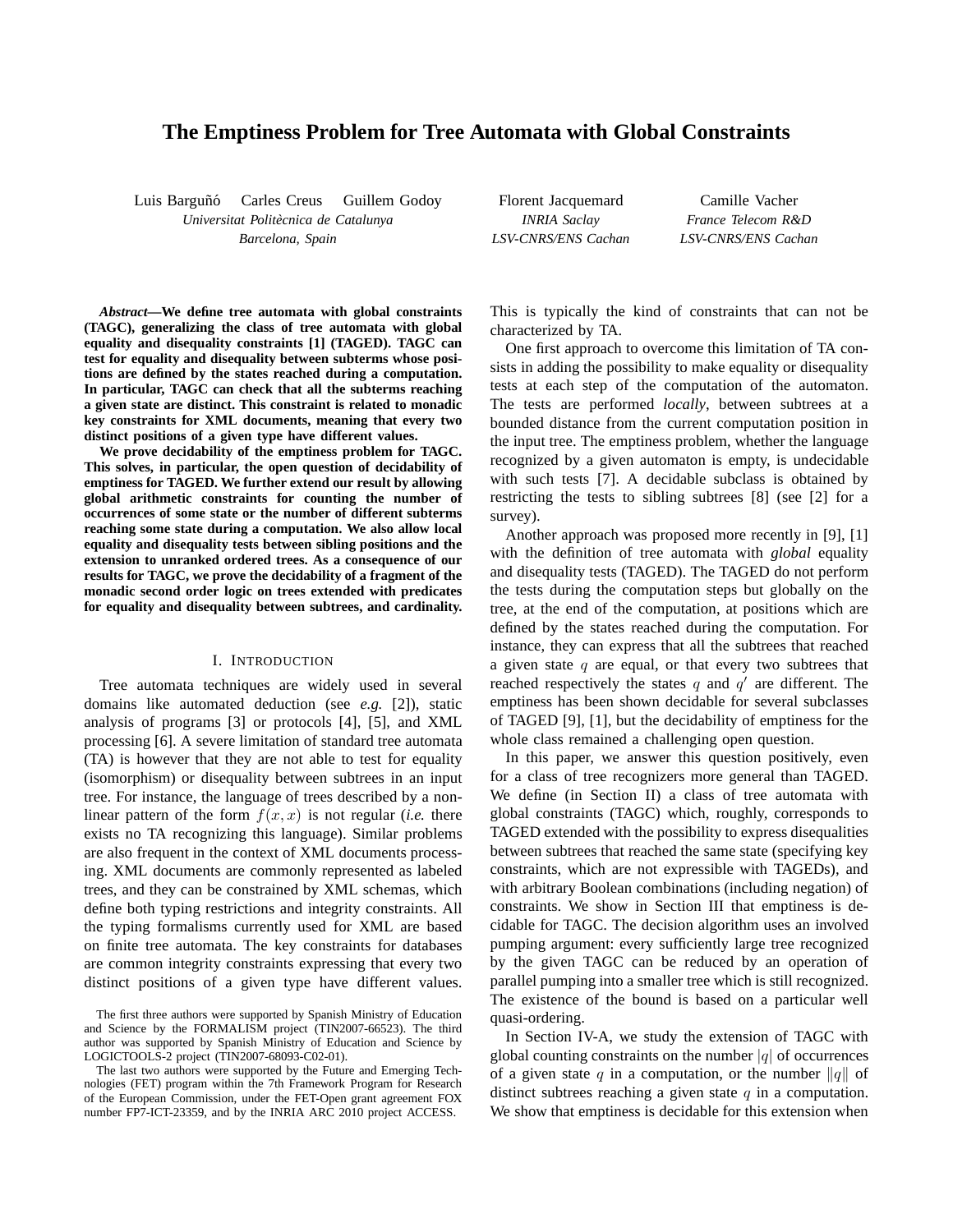### **The Emptiness Problem for Tree Automata with Global Constraints**

Luis Barguñó Carles Creus Guillem Godoy *Universitat Polit`ecnica de Catalunya Barcelona, Spain*

*Abstract***—We define tree automata with global constraints (TAGC), generalizing the class of tree automata with global equality and disequality constraints [1] (TAGED). TAGC can test for equality and disequality between subterms whose positions are defined by the states reached during a computation. In particular, TAGC can check that all the subterms reaching a given state are distinct. This constraint is related to monadic key constraints for XML documents, meaning that every two distinct positions of a given type have different values.**

**We prove decidability of the emptiness problem for TAGC. This solves, in particular, the open question of decidability of emptiness for TAGED. We further extend our result by allowing global arithmetic constraints for counting the number of occurrences of some state or the number of different subterms reaching some state during a computation. We also allow local equality and disequality tests between sibling positions and the extension to unranked ordered trees. As a consequence of our results for TAGC, we prove the decidability of a fragment of the monadic second order logic on trees extended with predicates for equality and disequality between subtrees, and cardinality.**

#### I. INTRODUCTION

Tree automata techniques are widely used in several domains like automated deduction (see *e.g.* [2]), static analysis of programs [3] or protocols [4], [5], and XML processing [6]. A severe limitation of standard tree automata (TA) is however that they are not able to test for equality (isomorphism) or disequality between subtrees in an input tree. For instance, the language of trees described by a nonlinear pattern of the form  $f(x, x)$  is not regular *(i.e.* there exists no TA recognizing this language). Similar problems are also frequent in the context of XML documents processing. XML documents are commonly represented as labeled trees, and they can be constrained by XML schemas, which define both typing restrictions and integrity constraints. All the typing formalisms currently used for XML are based on finite tree automata. The key constraints for databases are common integrity constraints expressing that every two distinct positions of a given type have different values.

Florent Jacquemard *INRIA Saclay LSV-CNRS/ENS Cachan*

Camille Vacher *France Telecom R&D LSV-CNRS/ENS Cachan*

This is typically the kind of constraints that can not be characterized by TA.

One first approach to overcome this limitation of TA consists in adding the possibility to make equality or disequality tests at each step of the computation of the automaton. The tests are performed *locally*, between subtrees at a bounded distance from the current computation position in the input tree. The emptiness problem, whether the language recognized by a given automaton is empty, is undecidable with such tests [7]. A decidable subclass is obtained by restricting the tests to sibling subtrees [8] (see [2] for a survey).

Another approach was proposed more recently in [9], [1] with the definition of tree automata with *global* equality and disequality tests (TAGED). The TAGED do not perform the tests during the computation steps but globally on the tree, at the end of the computation, at positions which are defined by the states reached during the computation. For instance, they can express that all the subtrees that reached a given state  $q$  are equal, or that every two subtrees that reached respectively the states  $q$  and  $q'$  are different. The emptiness has been shown decidable for several subclasses of TAGED [9], [1], but the decidability of emptiness for the whole class remained a challenging open question.

In this paper, we answer this question positively, even for a class of tree recognizers more general than TAGED. We define (in Section II) a class of tree automata with global constraints (TAGC) which, roughly, corresponds to TAGED extended with the possibility to express disequalities between subtrees that reached the same state (specifying key constraints, which are not expressible with TAGEDs), and with arbitrary Boolean combinations (including negation) of constraints. We show in Section III that emptiness is decidable for TAGC. The decision algorithm uses an involved pumping argument: every sufficiently large tree recognized by the given TAGC can be reduced by an operation of parallel pumping into a smaller tree which is still recognized. The existence of the bound is based on a particular well quasi-ordering.

In Section IV-A, we study the extension of TAGC with global counting constraints on the number  $|q|$  of occurrences of a given state q in a computation, or the number  $||q||$  of distinct subtrees reaching a given state  $q$  in a computation. We show that emptiness is decidable for this extension when

The first three authors were supported by Spanish Ministry of Education and Science by the FORMALISM project (TIN2007-66523). The third author was supported by Spanish Ministry of Education and Science by LOGICTOOLS-2 project (TIN2007-68093-C02-01).

The last two authors were supported by the Future and Emerging Technologies (FET) program within the 7th Framework Program for Research of the European Commission, under the FET-Open grant agreement FOX number FP7-ICT-23359, and by the INRIA ARC 2010 project ACCESS.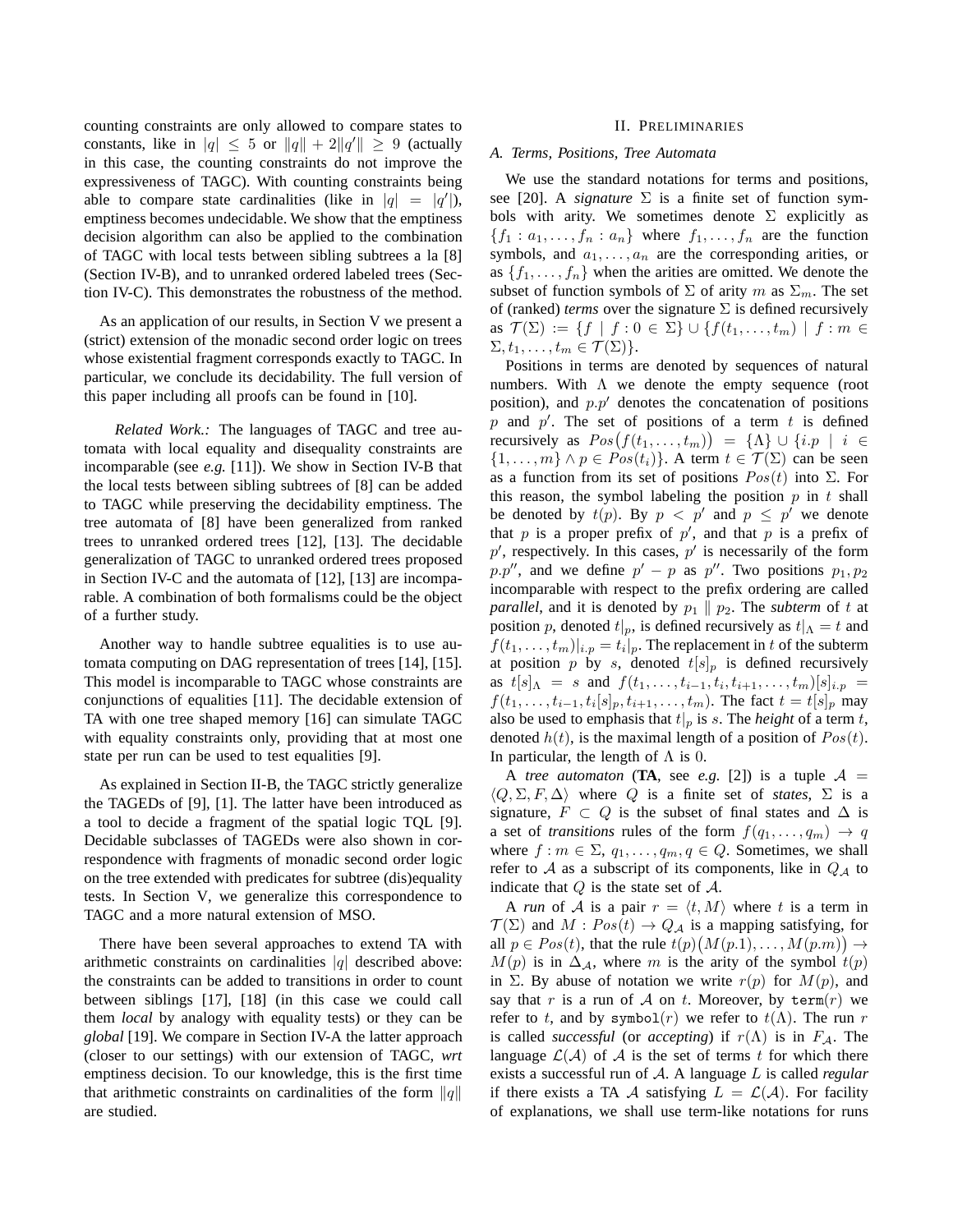counting constraints are only allowed to compare states to constants, like in  $|q| \leq 5$  or  $||q|| + 2||q'|| \geq 9$  (actually in this case, the counting constraints do not improve the expressiveness of TAGC). With counting constraints being able to compare state cardinalities (like in  $|q| = |q'|$ ), emptiness becomes undecidable. We show that the emptiness decision algorithm can also be applied to the combination of TAGC with local tests between sibling subtrees a la [8] (Section IV-B), and to unranked ordered labeled trees (Section IV-C). This demonstrates the robustness of the method.

As an application of our results, in Section V we present a (strict) extension of the monadic second order logic on trees whose existential fragment corresponds exactly to TAGC. In particular, we conclude its decidability. The full version of this paper including all proofs can be found in [10].

*Related Work.:* The languages of TAGC and tree automata with local equality and disequality constraints are incomparable (see *e.g.* [11]). We show in Section IV-B that the local tests between sibling subtrees of [8] can be added to TAGC while preserving the decidability emptiness. The tree automata of [8] have been generalized from ranked trees to unranked ordered trees [12], [13]. The decidable generalization of TAGC to unranked ordered trees proposed in Section IV-C and the automata of [12], [13] are incomparable. A combination of both formalisms could be the object of a further study.

Another way to handle subtree equalities is to use automata computing on DAG representation of trees [14], [15]. This model is incomparable to TAGC whose constraints are conjunctions of equalities [11]. The decidable extension of TA with one tree shaped memory [16] can simulate TAGC with equality constraints only, providing that at most one state per run can be used to test equalities [9].

As explained in Section II-B, the TAGC strictly generalize the TAGEDs of [9], [1]. The latter have been introduced as a tool to decide a fragment of the spatial logic TQL [9]. Decidable subclasses of TAGEDs were also shown in correspondence with fragments of monadic second order logic on the tree extended with predicates for subtree (dis)equality tests. In Section V, we generalize this correspondence to TAGC and a more natural extension of MSO.

There have been several approaches to extend TA with arithmetic constraints on cardinalities  $|q|$  described above: the constraints can be added to transitions in order to count between siblings [17], [18] (in this case we could call them *local* by analogy with equality tests) or they can be *global* [19]. We compare in Section IV-A the latter approach (closer to our settings) with our extension of TAGC, *wrt* emptiness decision. To our knowledge, this is the first time that arithmetic constraints on cardinalities of the form  $||q||$ are studied.

#### II. PRELIMINARIES

#### *A. Terms, Positions, Tree Automata*

We use the standard notations for terms and positions, see [20]. A *signature*  $\Sigma$  is a finite set of function symbols with arity. We sometimes denote  $\Sigma$  explicitly as  ${f_1 : a_1, \ldots, f_n : a_n}$  where  $f_1, \ldots, f_n$  are the function symbols, and  $a_1, \ldots, a_n$  are the corresponding arities, or as  $\{f_1, \ldots, f_n\}$  when the arities are omitted. We denote the subset of function symbols of  $\Sigma$  of arity m as  $\Sigma_m$ . The set of (ranked) *terms* over the signature  $\Sigma$  is defined recursively as  $\mathcal{T}(\Sigma) := \{f \mid f : 0 \in \Sigma\} \cup \{f(t_1,\ldots,t_m) \mid f : m \in$  $\Sigma, t_1, \ldots, t_m \in \mathcal{T}(\Sigma)$ .

Positions in terms are denoted by sequences of natural numbers. With  $\Lambda$  we denote the empty sequence (root position), and  $p.p'$  denotes the concatenation of positions p and  $p'$ . The set of positions of a term t is defined recursively as  $Pos(f(t_1, ..., t_m)) = {\{\Lambda\}} \cup \{i.p \mid i \in$  $\{1, \ldots, m\} \wedge p \in Pos(t_i)\}\$ . A term  $t \in \mathcal{T}(\Sigma)$  can be seen as a function from its set of positions  $Pos(t)$  into  $\Sigma$ . For this reason, the symbol labeling the position  $p$  in  $t$  shall be denoted by  $t(p)$ . By  $p \leq p'$  and  $p \leq p'$  we denote that p is a proper prefix of  $p'$ , and that p is a prefix of  $p'$ , respectively. In this cases,  $p'$  is necessarily of the form  $p.p''$ , and we define  $p' - p$  as  $p''$ . Two positions  $p_1, p_2$ incomparable with respect to the prefix ordering are called *parallel*, and it is denoted by  $p_1 \parallel p_2$ . The *subterm* of t at position p, denoted  $t|_p$ , is defined recursively as  $t|_{\Lambda} = t$  and  $f(t_1,\ldots,t_m)|_{i,p}=t_i|_p.$  The replacement in  $t$  of the subterm at position  $p$  by  $s$ , denoted  $t[s]_p$  is defined recursively as  $t[s]_A = s$  and  $f(t_1, \ldots, t_{i-1}, t_i, t_{i+1}, \ldots, t_m)[s]_{i,p} =$  $f(t_1, \ldots, t_{i-1}, t_i[s]_p, t_{i+1}, \ldots, t_m)$ . The fact  $t = t[s]_p$  may also be used to emphasis that  $t|p$  is s. The *height* of a term t, denoted  $h(t)$ , is the maximal length of a position of  $Pos(t)$ . In particular, the length of  $\Lambda$  is 0.

A *tree automaton* (TA, see *e.g.* [2]) is a tuple  $A =$  $\langle Q, \Sigma, F, \Delta \rangle$  where Q is a finite set of *states*,  $\Sigma$  is a signature,  $F \subset Q$  is the subset of final states and  $\Delta$  is a set of *transitions* rules of the form  $f(q_1, \ldots, q_m) \rightarrow q$ where  $f : m \in \Sigma$ ,  $q_1, \ldots, q_m, q \in Q$ . Sometimes, we shall refer to A as a subscript of its components, like in  $Q_A$  to indicate that  $Q$  is the state set of  $A$ .

A *run* of A is a pair  $r = \langle t, M \rangle$  where t is a term in  $\mathcal{T}(\Sigma)$  and  $M: Pos(t) \to Q_A$  is a mapping satisfying, for all  $p \in Pos(t)$ , that the rule  $t(p)(M(p,1), \ldots, M(p,m)) \rightarrow$  $M(p)$  is in  $\Delta_{\mathcal{A}}$ , where m is the arity of the symbol  $t(p)$ in Σ. By abuse of notation we write  $r(p)$  for  $M(p)$ , and say that r is a run of A on t. Moreover, by  $term(r)$  we refer to t, and by symbol(r) we refer to  $t(\Lambda)$ . The run r is called *successful* (or *accepting*) if  $r(\Lambda)$  is in  $F_A$ . The language  $\mathcal{L}(\mathcal{A})$  of  $\mathcal{A}$  is the set of terms t for which there exists a successful run of A. A language L is called *regular* if there exists a TA A satisfying  $L = \mathcal{L}(\mathcal{A})$ . For facility of explanations, we shall use term-like notations for runs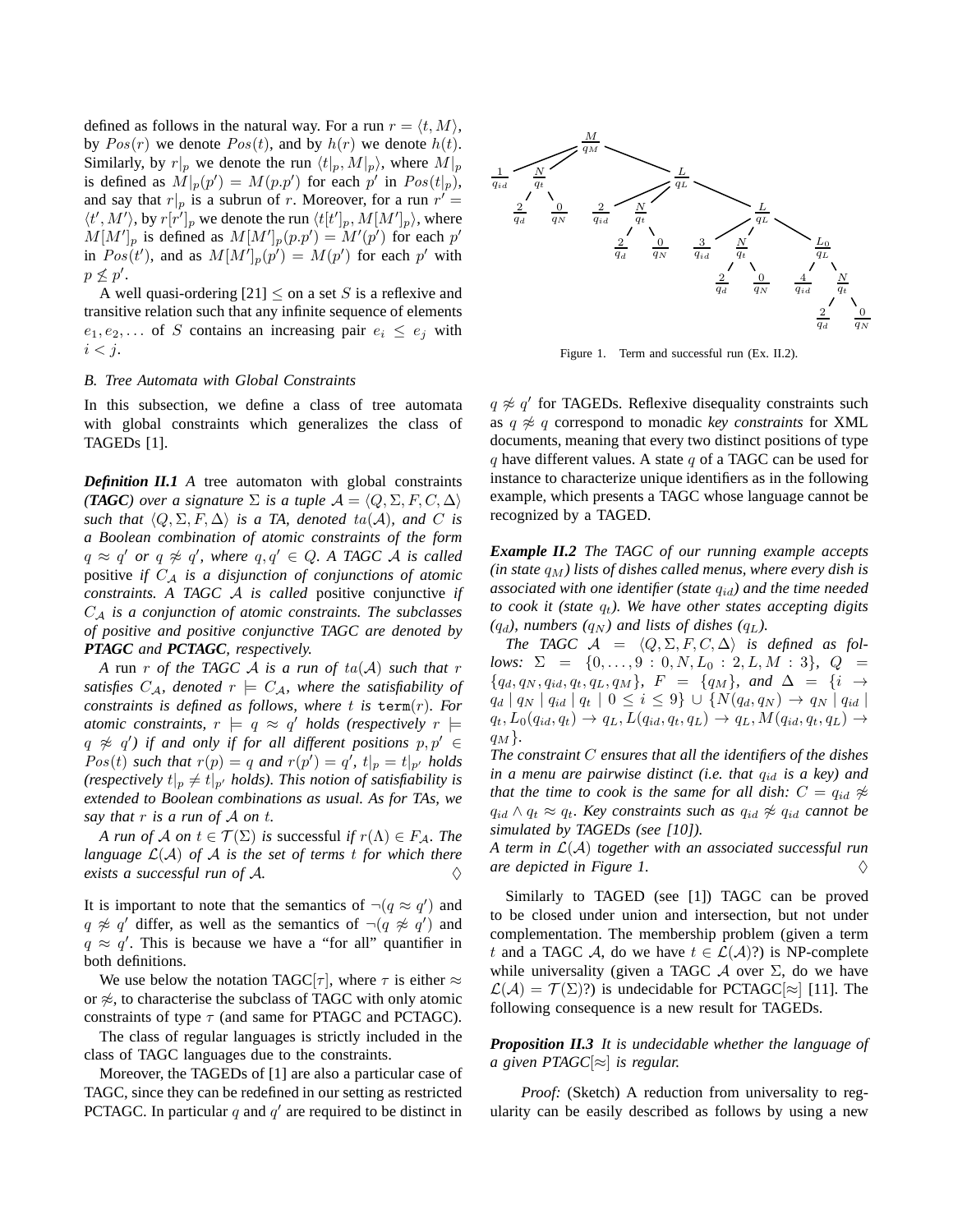defined as follows in the natural way. For a run  $r = \langle t, M \rangle$ , by  $Pos(r)$  we denote  $Pos(t)$ , and by  $h(r)$  we denote  $h(t)$ . Similarly, by  $r|_p$  we denote the run  $\langle t|_p, M|_p \rangle$ , where  $M|_p$ is defined as  $M|_p(p') = M(p.p')$  for each p' in  $Pos(t|_p)$ , and say that  $r|_p$  is a subrun of r. Moreover, for a run  $r' =$  $\langle t', M' \rangle$ , by  $r[r']_p$  we denote the run  $\langle t[t']_p, M[M']_p \rangle$ , where  $M[M']_p$  is defined as  $M[M']_p(p.p') = M'(p')$  for each p' in  $Pos(t')$ , and as  $M[M']_p(p') = M(p')$  for each p' with  $p \nleq p'.$ 

A well quasi-ordering  $[21] \leq \text{on a set } S$  is a reflexive and transitive relation such that any infinite sequence of elements  $e_1, e_2, \ldots$  of S contains an increasing pair  $e_i \leq e_j$  with  $i < j$ .

#### *B. Tree Automata with Global Constraints*

In this subsection, we define a class of tree automata with global constraints which generalizes the class of TAGEDs [1].

*Definition II.1 A* tree automaton with global constraints *(TAGC)* over a signature  $\Sigma$  *is a tuple*  $\mathcal{A} = \langle Q, \Sigma, F, C, \Delta \rangle$ *such that*  $\langle Q, \Sigma, F, \Delta \rangle$  *is a TA, denoted ta*( $\mathcal{A}$ *), and* C *is a Boolean combination of atomic constraints of the form*  $q \approx q'$  or  $q \not\approx q'$ , where  $q, q' \in Q$ . A TAGC A is called positive *if* C<sup>A</sup> *is a disjunction of conjunctions of atomic constraints. A TAGC* A *is called* positive conjunctive *if* C<sup>A</sup> *is a conjunction of atomic constraints. The subclasses of positive and positive conjunctive TAGC are denoted by PTAGC and PCTAGC, respectively.*

*A* run r *of the TAGC* A *is a run of* ta(A) *such that* r *satisfies*  $C_A$ *, denoted*  $r \models C_A$ *, where the satisfiability of constraints is defined as follows, where* t *is* term(r)*. For atomic constraints,*  $r \models q \approx q'$  *holds (respectively*  $r \models q \approx q'$  *holds (respectively r*)  $q \not\approx q'$ ) if and only if for all different positions  $p, p' \in$  $Pos(t)$  *such that*  $r(p) = q$  *and*  $r(p') = q'$ ,  $t|_p = t|_{p'}$  *holds (respectively*  $t|_p \neq t|_{p'}$  *holds). This notion of satisfiability is extended to Boolean combinations as usual. As for TAs, we say that* r *is a run of* A *on* t*.*

*A run of A on*  $t \in \mathcal{T}(\Sigma)$  *is successful if*  $r(\Lambda) \in F_A$ *. The language*  $\mathcal{L}(\mathcal{A})$  *of*  $\mathcal{A}$  *is the set of terms t for which there exists a successful run of A.*  $\Diamond$ 

It is important to note that the semantics of  $\neg(q \approx q')$  and  $q \not\approx q'$  differ, as well as the semantics of  $\neg(q \not\approx q')$  and  $q \approx q'$ . This is because we have a "for all" quantifier in both definitions.

We use below the notation TAGC[ $\tau$ ], where  $\tau$  is either  $\approx$ or  $\not\approx$ , to characterise the subclass of TAGC with only atomic constraints of type  $\tau$  (and same for PTAGC and PCTAGC).

The class of regular languages is strictly included in the class of TAGC languages due to the constraints.

Moreover, the TAGEDs of [1] are also a particular case of TAGC, since they can be redefined in our setting as restricted PCTAGC. In particular  $q$  and  $q'$  are required to be distinct in



Figure 1. Term and successful run (Ex. II.2).

 $q \not\approx q'$  for TAGEDs. Reflexive disequality constraints such as  $q \not\approx q$  correspond to monadic *key constraints* for XML documents, meaning that every two distinct positions of type  $q$  have different values. A state  $q$  of a TAGC can be used for instance to characterize unique identifiers as in the following example, which presents a TAGC whose language cannot be recognized by a TAGED.

*Example II.2 The TAGC of our running example accepts*  $(in state q<sub>M</sub>)$  lists of dishes called menus, where every dish is *associated with one identifier (state* qid*) and the time needed to cook it (state q<sub>t</sub>). We have other states accepting digits*  $(q_d)$ , numbers  $(q_N)$  and lists of dishes  $(q_L)$ .

*The TAGC*  $\mathcal{A} = \langle Q, \Sigma, F, C, \Delta \rangle$  *is defined as follows:*  $\Sigma = \{0, \ldots, 9 : 0, N, L_0 : 2, L, M : 3\}, Q$  ${q_d, q_N, q_{id}, q_t, q_L, q_M}, F = {q_M}, and \Delta = {i \rightarrow$  $q_d | q_N | q_{id} | q_t | 0 \leq i \leq 9$   $\cup \{ N(q_d, q_N) \rightarrow q_N | q_{id} |$  $q_t, L_0(q_{id}, q_t) \rightarrow q_L, L(q_{id}, q_t, q_t) \rightarrow q_L, M(q_{id}, q_t, q_t) \rightarrow$  $q_M$  $\}$ .

*The constraint* C *ensures that all the identifiers of the dishes in a menu are pairwise distinct (i.e. that*  $q_{id}$  *is a key) and that the time to cook is the same for all dish:*  $C = q_{id} \not\approx$  $q_{id} \wedge q_t \approx q_t$ . Key constraints such as  $q_{id} \not\approx q_{id}$  cannot be *simulated by TAGEDs (see [10]).*

*A term in* L(A) *together with an associated successful run are depicted in Figure 1.*  $\Diamond$ 

Similarly to TAGED (see [1]) TAGC can be proved to be closed under union and intersection, but not under complementation. The membership problem (given a term t and a TAGC A, do we have  $t \in \mathcal{L}(\mathcal{A})$ ?) is NP-complete while universality (given a TAGC  $\mathcal A$  over  $\Sigma$ , do we have  $\mathcal{L}(\mathcal{A}) = \mathcal{T}(\Sigma)$ ?) is undecidable for PCTAGC[ $\approx$ ] [11]. The following consequence is a new result for TAGEDs.

*Proposition II.3 It is undecidable whether the language of a given PTAGC*[≈] *is regular.*

*Proof:* (Sketch) A reduction from universality to regularity can be easily described as follows by using a new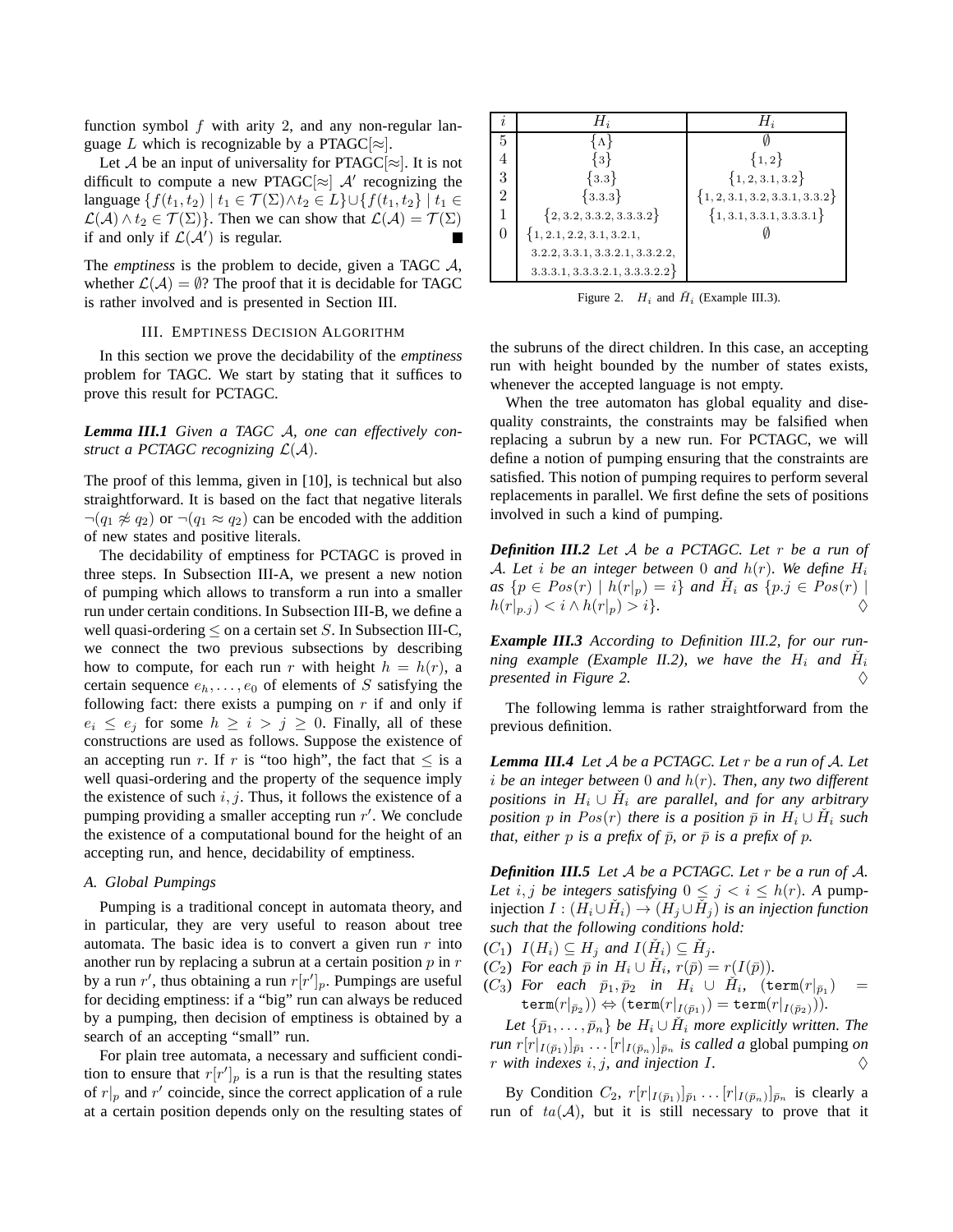function symbol  $f$  with arity 2, and any non-regular language L which is recognizable by a PTAGC[ $\approx$ ].

Let A be an input of universality for PTAGC[ $\approx$ ]. It is not difficult to compute a new PTAGC[ $\approx$ ]  $\mathcal{A}'$  recognizing the language  $\{f(t_1, t_2) \mid t_1 \in \mathcal{T}(\Sigma) \land t_2 \in L\} \cup \{f(t_1, t_2) \mid t_1 \in$  $\mathcal{L}(\mathcal{A}) \wedge t_2 \in \mathcal{T}(\Sigma)$ . Then we can show that  $\mathcal{L}(\mathcal{A}) = \mathcal{T}(\Sigma)$ if and only if  $\mathcal{L}(\mathcal{A}')$  is regular.  $\blacksquare$ 

The *emptiness* is the problem to decide, given a TAGC A, whether  $\mathcal{L}(\mathcal{A}) = \emptyset$ ? The proof that it is decidable for TAGC is rather involved and is presented in Section III.

#### III. EMPTINESS DECISION ALGORITHM

In this section we prove the decidability of the *emptiness* problem for TAGC. We start by stating that it suffices to prove this result for PCTAGC.

*Lemma III.1 Given a TAGC* A*, one can effectively construct a PCTAGC recognizing*  $\mathcal{L}(\mathcal{A})$ *.* 

The proof of this lemma, given in [10], is technical but also straightforward. It is based on the fact that negative literals  $\neg(q_1 \not\approx q_2)$  or  $\neg(q_1 \approx q_2)$  can be encoded with the addition of new states and positive literals.

The decidability of emptiness for PCTAGC is proved in three steps. In Subsection III-A, we present a new notion of pumping which allows to transform a run into a smaller run under certain conditions. In Subsection III-B, we define a well quasi-ordering  $\leq$  on a certain set S. In Subsection III-C, we connect the two previous subsections by describing how to compute, for each run r with height  $h = h(r)$ , a certain sequence  $e_h, \ldots, e_0$  of elements of S satisfying the following fact: there exists a pumping on  $r$  if and only if  $e_i \leq e_j$  for some  $h \geq i > j \geq 0$ . Finally, all of these constructions are used as follows. Suppose the existence of an accepting run r. If r is "too high", the fact that  $\leq$  is a well quasi-ordering and the property of the sequence imply the existence of such  $i, j$ . Thus, it follows the existence of a pumping providing a smaller accepting run  $r'$ . We conclude the existence of a computational bound for the height of an accepting run, and hence, decidability of emptiness.

#### *A. Global Pumpings*

Pumping is a traditional concept in automata theory, and in particular, they are very useful to reason about tree automata. The basic idea is to convert a given run  $r$  into another run by replacing a subrun at a certain position  $p$  in  $r$ by a run r', thus obtaining a run  $r[r']_p$ . Pumpings are useful for deciding emptiness: if a "big" run can always be reduced by a pumping, then decision of emptiness is obtained by a search of an accepting "small" run.

For plain tree automata, a necessary and sufficient condition to ensure that  $r[r']_p$  is a run is that the resulting states of  $r|_p$  and  $r'$  coincide, since the correct application of a rule at a certain position depends only on the resulting states of

|                | $H_i$                           |                                  |
|----------------|---------------------------------|----------------------------------|
| 5              |                                 |                                  |
| 4              | {3}                             | ${1,2}$                          |
| 3              | $\{3.3\}$                       | ${1, 2, 3.1, 3.2}$               |
| $\overline{2}$ | ${3.3.3}$                       | ${1, 2, 3.1, 3.2, 3.3.1, 3.3.2}$ |
|                | ${2, 3.2, 3.3.2, 3.3.3.2}$      | ${1, 3.1, 3.3.1, 3.3.3.1}$       |
| $\Omega$       | ${1, 2.1, 2.2, 3.1, 3.2.1,$     |                                  |
|                | 3.2.2, 3.3.1, 3.3.2.1, 3.3.2.2, |                                  |
|                | 3.3.3.1, 3.3.3.2.1, 3.3.3.2.2   |                                  |

Figure 2.  $H_i$  and  $\check{H}_i$  (Example III.3).

the subruns of the direct children. In this case, an accepting run with height bounded by the number of states exists, whenever the accepted language is not empty.

When the tree automaton has global equality and disequality constraints, the constraints may be falsified when replacing a subrun by a new run. For PCTAGC, we will define a notion of pumping ensuring that the constraints are satisfied. This notion of pumping requires to perform several replacements in parallel. We first define the sets of positions involved in such a kind of pumping.

*Definition III.2 Let* A *be a PCTAGC. Let* r *be a run of* A. Let *i* be an integer between 0 and  $h(r)$ . We define  $H_i$ *as*  $\{p \in Pos(r) \mid h(r|_p) = i\}$  *and*  $\check{H}_i$  *as*  $\{p.j \in Pos(r) \mid$  $h(r|_{p,i}) < i \wedge h(r|_{p}) > i$ *}*.

*Example III.3 According to Definition III.2, for our running example (Example II.2), we have the*  $H_i$  *and*  $\check{H}_i$ *presented in Figure 2.* 

The following lemma is rather straightforward from the previous definition.

*Lemma III.4 Let* A *be a PCTAGC. Let* r *be a run of* A*. Let* i *be an integer between* 0 *and* h(r)*. Then, any two different positions in*  $H_i$  ∪  $\check{H}_i$  are parallel, and for any arbitrary  $p$  *position*  $p$  *in*  $Pos(r)$  *there is a position*  $\overline{p}$  *in*  $H_i \cup H_i$  *such that, either* p *is a prefix of*  $\bar{p}$ *, or*  $\bar{p}$  *is a prefix of* p.

*Definition III.5 Let* A *be a PCTAGC. Let* r *be a run of* A*. Let* i, j *be integers satisfying*  $0 \le j \le i \le h(r)$ *. A pump*injection  $I: (H_i \cup \check{H}_i) \to (\check{H}_j \cup \check{H}_j)$  *is an injection function such that the following conditions hold:*

- $(C_1)$   $I(H_i) \subseteq H_j$  and  $I(\check{H}_i) \subseteq \check{H}_j$ .
- $(C_2)$  *For each*  $\bar{p}$  *in*  $H_i \cup \check{H}_i$ ,  $r(\bar{p}) = r(I(\bar{p})).$
- $(C_3)$  *For each*  $\bar{p}_1, \bar{p}_2$  *in*  $H_i \cup \check{H}_i$ ,  $(\text{term}(r|_{\bar{p}_1})$  =  $\texttt{term}(r|_{\bar{p}_2}))\Leftrightarrow(\texttt{term}(r|_{I(\bar{p}_1)})=\texttt{term}(r|_{I(\bar{p}_2)})).$

Let  $\{\bar{p}_1,\ldots,\bar{p}_n\}$  *be*  $H_i \cup \check{H}_i$  more explicitly written. The  $r$ *un*  $r[r|_{I(\bar{p}_1)}]_{\bar{p}_1} \ldots [r|_{I(\bar{p}_n)}]_{\bar{p}_n}$  *is called a* global pumping *on r* with indexes i, j, and injection I.  $\Diamond$ 

By Condition  $C_2$ ,  $r[r|_{I(\bar{p}_1)}]_{\bar{p}_1} \dots [r|_{I(\bar{p}_n)}]_{\bar{p}_n}$  is clearly a run of  $ta(A)$ , but it is still necessary to prove that it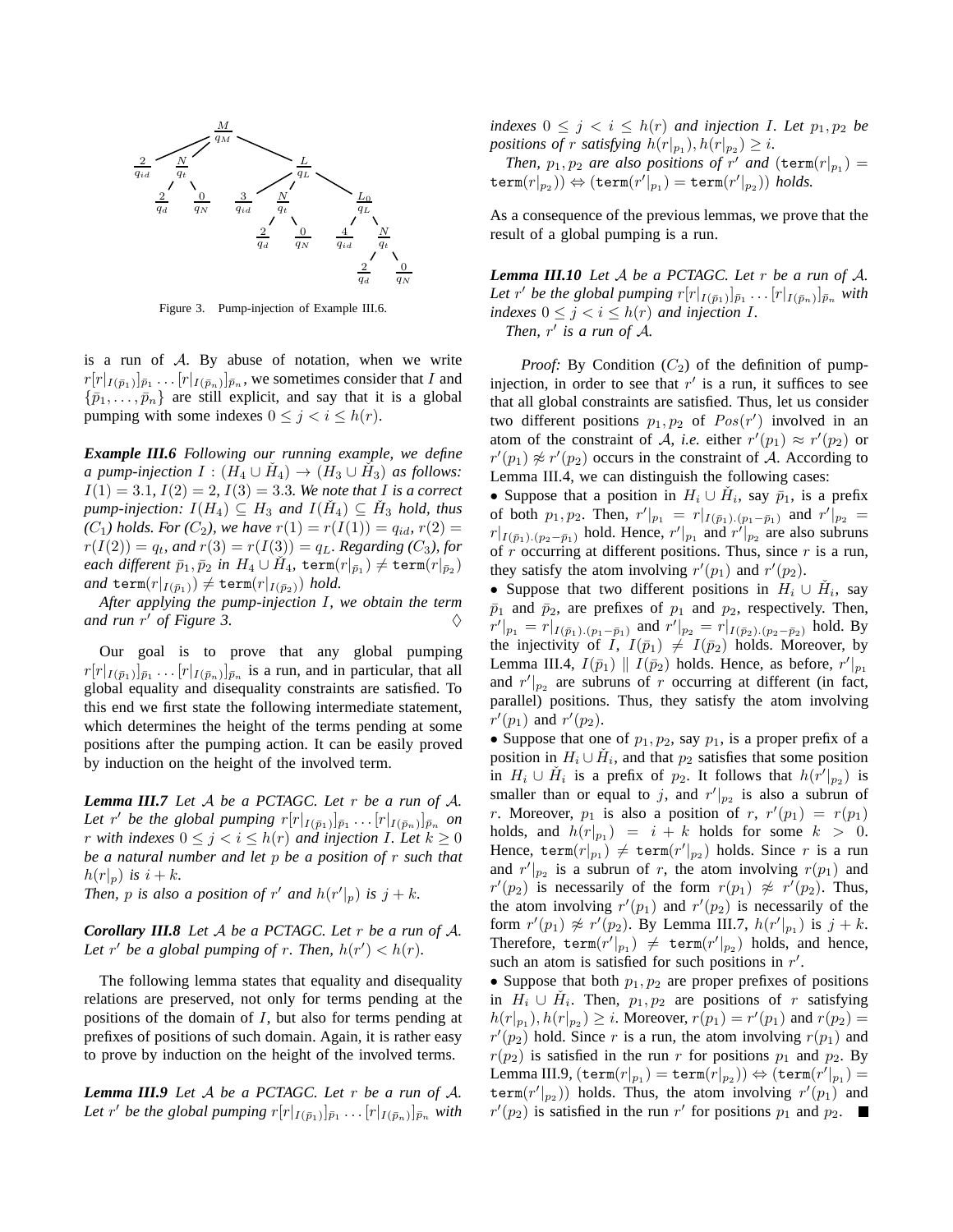

Figure 3. Pump-injection of Example III.6.

is a run of  $A$ . By abuse of notation, when we write  $r[r|_{I(\bar{p}_1)}]_{\bar{p}_1} \ldots [r|_{I(\bar{p}_n)}]_{\bar{p}_n}$ , we sometimes consider that I and  $\{\bar{p}_1, \ldots, \bar{p}_n\}$  are still explicit, and say that it is a global pumping with some indexes  $0 \le j < i \le h(r)$ .

*Example III.6 Following our running example, we define a pump-injection*  $I: (H_4 \cup \check{H}_4) \rightarrow (H_3 \cup \check{H}_3)$  *as follows:*  $I(1) = 3.1, I(2) = 2, I(3) = 3.3$ *. We note that* I *is a correct*  $pump\text{-}\textit{injection}: I(H_4) \subseteq H_3$  and  $I(\check{H}_4) \subseteq \check{H}_3$  hold, thus *(C<sub>1</sub>)* holds. For  $(C_2)$ , we have  $r(1) = r(I(1)) = q_{id}$ ,  $r(2) =$  $r(I(2)) = q_t$ *, and*  $r(3) = r(I(3)) = q_L$ *. Regarding* (*C*<sub>3</sub>*), for*  $\vec{e}$ each different  $\bar{p}_1,\bar{p}_2$  in  $H_4\cup\check{H}_4$ , term $(r|_{\bar{p}_1})\neq\texttt{term}(r|_{\bar{p}_2})$ *and*  $\text{term}(r|_{I(\bar{p}_1)}) \neq \text{term}(r|_{I(\bar{p}_2)})$  *hold.* 

*After applying the pump-injection* I*, we obtain the term* and run r' of Figure 3.  $\Diamond$ 

Our goal is to prove that any global pumping  $r[r|_{I(\bar{p}_1)}]_{\bar{p}_1} \ldots [r|_{I(\bar{p}_n)}]_{\bar{p}_n}$  is a run, and in particular, that all global equality and disequality constraints are satisfied. To this end we first state the following intermediate statement, which determines the height of the terms pending at some positions after the pumping action. It can be easily proved by induction on the height of the involved term.

*Lemma III.7 Let* A *be a PCTAGC. Let* r *be a run of* A*.* Let  $r'$  be the global pumping  $r[r|_{I(\bar{p}_1)}]_{\bar{p}_1} \ldots [r|_{I(\bar{p}_n)}]_{\bar{p}_n}$  on *r* with indexes  $0 \le j \le i \le h(r)$  and injection I. Let  $k \ge 0$ *be a natural number and let* p *be a position of* r *such that*  $h(r|_n)$  *is*  $i + k$ .

*Then,* p *is also a position of* r' *and*  $h(r'|_p)$  *is*  $j + k$ *.* 

*Corollary III.8 Let* A *be a PCTAGC. Let* r *be a run of* A*.* Let r' be a global pumping of r. Then,  $h(r') < h(r)$ .

The following lemma states that equality and disequality relations are preserved, not only for terms pending at the positions of the domain of I, but also for terms pending at prefixes of positions of such domain. Again, it is rather easy to prove by induction on the height of the involved terms.

*Lemma III.9 Let* A *be a PCTAGC. Let* r *be a run of* A*.* Let r' be the global pumping  $r[r|_{I(\bar{p}_1)}]_{\bar{p}_1} \ldots [r|_{I(\bar{p}_n)}]_{\bar{p}_n}$  with *indexes*  $0 \leq j \leq i \leq h(r)$  *and injection I. Let*  $p_1, p_2$  *be positions of* r *satisfying*  $h(r|_{p_1}), h(r|_{p_2}) \geq i$ .

*Then,*  $p_1, p_2$  *are also positions of*  $r'$  *and*  $(\text{term}(r|_{p_1})) =$  $\texttt{term}(r|_{p_2}) \rangle \Leftrightarrow (\texttt{term}(r'|_{p_1}) = \texttt{term}(r'|_{p_2})) \ holds.$ 

As a consequence of the previous lemmas, we prove that the result of a global pumping is a run.

*Lemma III.10 Let* A *be a PCTAGC. Let* r *be a run of* A*.* Let r' be the global pumping  $r[r|_{I(\bar{p}_1)}]_{\bar{p}_1} \ldots [r|_{I(\bar{p}_n)}]_{\bar{p}_n}$  with *indexes*  $0 \leq j \leq i \leq h(r)$  *and injection I.* 

*Then,* r ′ *is a run of* A*.*

*Proof:* By Condition  $(C_2)$  of the definition of pumpinjection, in order to see that  $r'$  is a run, it suffices to see that all global constraints are satisfied. Thus, let us consider two different positions  $p_1, p_2$  of  $Pos(r')$  involved in an atom of the constraint of A, *i.e.* either  $r'(p_1) \approx r'(p_2)$  or  $r'(p_1) \not\approx r'(p_2)$  occurs in the constraint of A. According to Lemma III.4, we can distinguish the following cases:

• Suppose that a position in  $H_i \cup \check{H}_i$ , say  $\bar{p}_1$ , is a prefix of both  $p_1, p_2$ . Then,  $r'|_{p_1} = r|_{I(\bar{p}_1).(p_1-\bar{p}_1)}$  and  $r'|_{p_2} =$  $r|_{I(\bar{p}_1).(p_2-\bar{p}_1)}$  hold. Hence,  $r'|_{p_1}$  and  $r'|_{p_2}$  are also subruns of  $r$  occurring at different positions. Thus, since  $r$  is a run, they satisfy the atom involving  $r'(p_1)$  and  $r'(p_2)$ .

• Suppose that two different positions in  $H_i \cup \check{H}_i$ , say  $\bar{p}_1$  and  $\bar{p}_2$ , are prefixes of  $p_1$  and  $p_2$ , respectively. Then,  $r'|_{p_1} = r|_{I(\bar{p}_1).(p_1-\bar{p}_1)}$  and  $r'|_{p_2} = r|_{I(\bar{p}_2).(p_2-\bar{p}_2)}$  hold. By the injectivity of I,  $I(\bar{p}_1) \neq I(\bar{p}_2)$  holds. Moreover, by Lemma III.4,  $I(\bar{p}_1) \parallel I(\bar{p}_2)$  holds. Hence, as before,  $r'|_{p_1}$ and  $r'|_{p_2}$  are subruns of r occurring at different (in fact, parallel) positions. Thus, they satisfy the atom involving  $r'(p_1)$  and  $r'(p_2)$ .

• Suppose that one of  $p_1, p_2$ , say  $p_1$ , is a proper prefix of a position in  $H_i \cup \check{H}_i$ , and that  $p_2$  satisfies that some position in  $H_i \cup \check{H}_i$  is a prefix of  $p_2$ . It follows that  $h(r'|_{p_2})$  is smaller than or equal to j, and  $r'|_{p_2}$  is also a subrun of r. Moreover,  $p_1$  is also a position of r,  $r'(p_1) = r(p_1)$ holds, and  $h(r|_{p_1}) = i + k$  holds for some  $k > 0$ . Hence, term $(r|_{p_1}) \neq$  term $(r'|_{p_2})$  holds. Since  $r$  is a run and  $r'|_{p_2}$  is a subrun of r, the atom involving  $r(p_1)$  and  $r'(p_2)$  is necessarily of the form  $r(p_1) \not\approx r'(p_2)$ . Thus, the atom involving  $r'(p_1)$  and  $r'(p_2)$  is necessarily of the form  $r'(p_1) \not\approx r'(p_2)$ . By Lemma III.7,  $h(r'|_{p_1})$  is  $j + k$ . Therefore, term $(r'|_{p_1}) \neq \text{term}(r'|_{p_2})$  holds, and hence, such an atom is satisfied for such positions in  $r'$ .

• Suppose that both  $p_1, p_2$  are proper prefixes of positions in  $H_i \cup \check{H}_i$ . Then,  $p_1, p_2$  are positions of r satisfying  $h(r|_{p_1}), h(r|_{p_2}) \geq i$ . Moreover,  $r(p_1) = r'(p_1)$  and  $r(p_2) = i$  $r'(p_2)$  hold. Since r is a run, the atom involving  $r(p_1)$  and  $r(p_2)$  is satisfied in the run r for positions  $p_1$  and  $p_2$ . By Lemma III.9,  $(\mathtt{term}(r|_{p_1}) = \mathtt{term}(r|_{p_2})) \Leftrightarrow (\mathtt{term}(r'|_{p_1}) =$ term $(r'|_{p_2})$  holds. Thus, the atom involving  $r'(p_1)$  and  $r'(p_2)$  is satisfied in the run r' for positions  $p_1$  and  $p_2$ .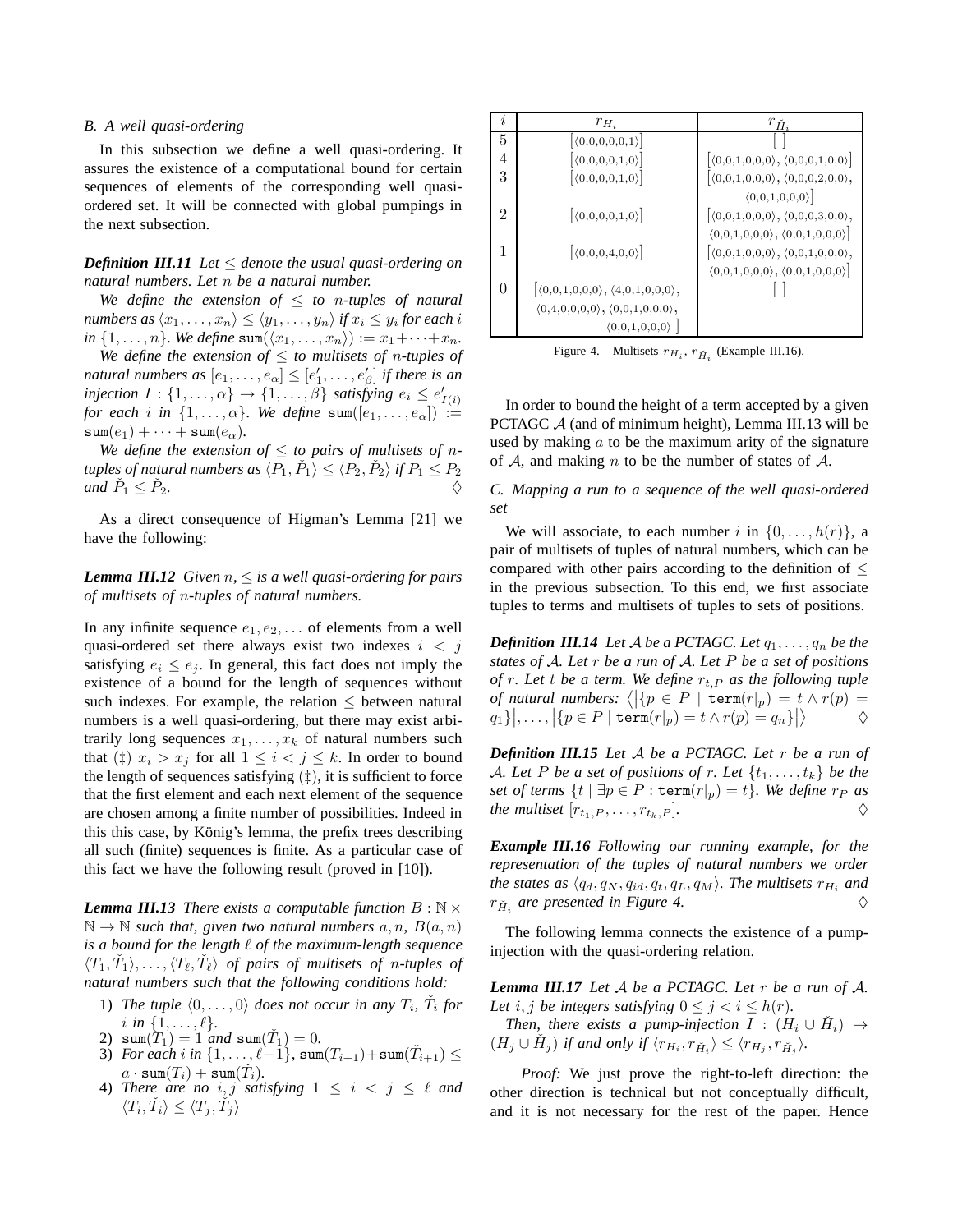#### *B. A well quasi-ordering*

In this subsection we define a well quasi-ordering. It assures the existence of a computational bound for certain sequences of elements of the corresponding well quasiordered set. It will be connected with global pumpings in the next subsection.

*Definition III.11 Let*  $\leq$  *denote the usual quasi-ordering on natural numbers. Let* n *be a natural number.*

*We define the extension of*  $\leq$  *to n*-tuples of natural  $\mathit{numbers} \; \mathit{as} \; \langle x_1, \ldots, x_n \rangle \leq \langle y_1, \ldots, y_n \rangle \; \mathit{if} \; x_i \leq y_i \; \mathit{for} \; \mathit{each} \; i$ *in*  $\{1, ..., n\}$ *. We define*  $\text{sum}(\langle x_1, ..., x_n \rangle) := x_1 + \cdots + x_n$ *.* 

*We define the extension of*  $\leq$  *to multisets of n-tuples of* natural numbers as  $[e_1, \ldots, e_{\alpha}] \leq [e'_1, \ldots, e'_{\beta}]$  if there is an *injection*  $I: \{1, \ldots, \alpha\} \rightarrow \{1, \ldots, \beta\}$  *satisfying*  $e_i \leq e'_{I(i)}$ *for each i in*  $\{1,\ldots,\alpha\}$ *. We define*  $\texttt{sum}([e_1,\ldots,e_\alpha]) :=$  $sum(e_1) + \cdots + sum(e_\alpha)$ .

*We define the extension of*  $\leq$  *to pairs of multisets of n*tuples of natural numbers as  $\langle P_1,\check P_1 \rangle \leq \langle P_2,\check P_2 \rangle$  if  $P_1\leq P_2$ *and*  $\check{P}_1 \leq \check{P}$  $\bigcirc$ <sub>2</sub>.

As a direct consequence of Higman's Lemma [21] we have the following:

*Lemma III.12 Given*  $n, \leq i$  *sa well quasi-ordering for pairs of multisets of* n*-tuples of natural numbers.*

In any infinite sequence  $e_1, e_2, \ldots$  of elements from a well quasi-ordered set there always exist two indexes  $i < j$ satisfying  $e_i \leq e_j$ . In general, this fact does not imply the existence of a bound for the length of sequences without such indexes. For example, the relation  $\leq$  between natural numbers is a well quasi-ordering, but there may exist arbitrarily long sequences  $x_1, \ldots, x_k$  of natural numbers such that  $(\ddagger)$   $x_i > x_j$  for all  $1 \leq i < j \leq k$ . In order to bound the length of sequences satisfying  $(\frac{1}{k})$ , it is sufficient to force that the first element and each next element of the sequence are chosen among a finite number of possibilities. Indeed in this this case, by König's lemma, the prefix trees describing all such (finite) sequences is finite. As a particular case of this fact we have the following result (proved in [10]).

**Lemma III.13** *There exists a computable function*  $B : \mathbb{N} \times$  $\mathbb{N} \to \mathbb{N}$  *such that, given two natural numbers*  $a, n, B(a, n)$ *is a bound for the length* ℓ *of the maximum-length sequence*  $\langle T_1, \check{T}_1 \rangle, \ldots, \langle T_\ell, \check{T}_\ell \rangle$  of pairs of multisets of n-tuples of *natural numbers such that the following conditions hold:*

- 1) *The tuple*  $\langle 0, \ldots, 0 \rangle$  *does not occur in any*  $T_i$ ,  $\tilde{T}_i$  *for i in*  $\{1, \ldots, \ell\}$ *.*
- 2)  $\text{sum}(T_1) = 1$  *and*  $\text{sum}(\tilde{T}_1) = 0$ .
- 3) For each i in  $\{1,\ldots,\ell-1\}$ , sum $(T_{i+1})+\texttt{sum}(\check{T}_{i+1})\leq$  $a \cdot \operatorname{sum}(T_i) + \operatorname{sum}(\check{T}_i).$
- 4) *There are no*  $i, j$  *satisfying*  $1 \leq i \leq j \leq \ell$  *and*  $\langle T_i, \check{T}_i \rangle \leq \langle T_j, \check{T}_j \rangle$

|   | $r_{H_i}$                                                         | ${}^{T}\check{H}_i$                                                       |
|---|-------------------------------------------------------------------|---------------------------------------------------------------------------|
| 5 | $ \langle 0,0,0,0,0,1\rangle $                                    |                                                                           |
| 4 | $[\langle 0,0,0,0,1,0 \rangle]$                                   | $\left[ \langle 0,0,1,0,0,0 \rangle, \langle 0,0,0,1,0,0 \rangle \right]$ |
| 3 | $\left[ \langle 0,0,0,0,1,0 \rangle \right]$                      | $\vert \langle 0,0,1,0,0,0 \rangle, \langle 0,0,0,2,0,0 \rangle,$         |
|   |                                                                   | $\langle 0,0,1,0,0,0 \rangle$                                             |
| 2 | $\left[ \langle 0,0,0,0,1,0 \rangle \right]$                      | $\vert \langle 0,0,1,0,0,0 \rangle, \langle 0,0,0,3,0,0 \rangle,$         |
|   |                                                                   | (0,0,1,0,0,0), (0,0,1,0,0,0)                                              |
|   | $\left[ \langle 0,0,0,4,0,0 \rangle \right]$                      | $\vert \langle 0,0,1,0,0,0 \rangle, \langle 0,0,1,0,0,0 \rangle,$         |
|   |                                                                   | (0,0,1,0,0,0), (0,0,1,0,0,0)                                              |
| 0 | $\vert \langle 0,0,1,0,0,0 \rangle, \langle 4,0,1,0,0,0 \rangle,$ |                                                                           |
|   | (0,4,0,0,0,0), (0,0,1,0,0,0),                                     |                                                                           |
|   | (0,0,1,0,0,0)                                                     |                                                                           |

Figure 4. Multisets  $r_{H_i}$ ,  $r_{\tilde{H}_i}$  (Example III.16).

In order to bound the height of a term accepted by a given PCTAGC A (and of minimum height), Lemma III.13 will be used by making  $\alpha$  to be the maximum arity of the signature of  $A$ , and making n to be the number of states of  $A$ .

*C. Mapping a run to a sequence of the well quasi-ordered set*

We will associate, to each number i in  $\{0, \ldots, h(r)\}\$ , a pair of multisets of tuples of natural numbers, which can be compared with other pairs according to the definition of  $\leq$ in the previous subsection. To this end, we first associate tuples to terms and multisets of tuples to sets of positions.

*Definition III.14 Let* A *be a PCTAGC. Let*  $q_1, \ldots, q_n$  *be the states of* A*. Let* r *be a run of* A*. Let* P *be a set of positions of* r. Let *t* be a term. We define  $r_{t,P}$  as the following tuple *of natural numbers:*  $\langle |\{p \in P \mid \mathtt{term}(r|_p) = t \land r(p) = 0\}|$  $q_1\}\Big\vert,\ldots,\Big\vert\{p\in P\mid \mathtt{term}(r|_p)=t\land r(p)=q_n\}\Big\vert\rangle$ ♦

*Definition III.15 Let* A *be a PCTAGC. Let* r *be a run of* A. Let P be a set of positions of r. Let  $\{t_1, \ldots, t_k\}$  be the *set of terms*  $\{t \mid \exists p \in P : \text{term}(r|_p) = t\}$ *. We define*  $r_P$  *as the multiset*  $[r_{t_1,P}, \ldots, r_{t_k,P}]$ *.*  $\diamondsuit$ 

*Example III.16 Following our running example, for the representation of the tuples of natural numbers we order the states as*  $\langle q_d, q_N, q_{id}, q_t, q_L, q_M \rangle$ *. The multisets*  $r_{H_i}$  *and*  $r_{\tilde{H}_i}$  are presented in Figure 4.  $\Diamond$ 

The following lemma connects the existence of a pumpinjection with the quasi-ordering relation.

*Lemma III.17 Let* A *be a PCTAGC. Let* r *be a run of* A*. Let i*, *j be integers satisfying*  $0 \le j \le i \le h(r)$ *.* 

Then, there exists a pump-injection  $I : (H_i \cup \check{H}_i) \rightarrow$  $(H_j \cup \check{H}_j)$  if and only if  $\langle r_{H_i}, r_{\check{H}_i} \rangle \leq \langle r_{H_j}, r_{\check{H}_j} \rangle$ .

*Proof:* We just prove the right-to-left direction: the other direction is technical but not conceptually difficult, and it is not necessary for the rest of the paper. Hence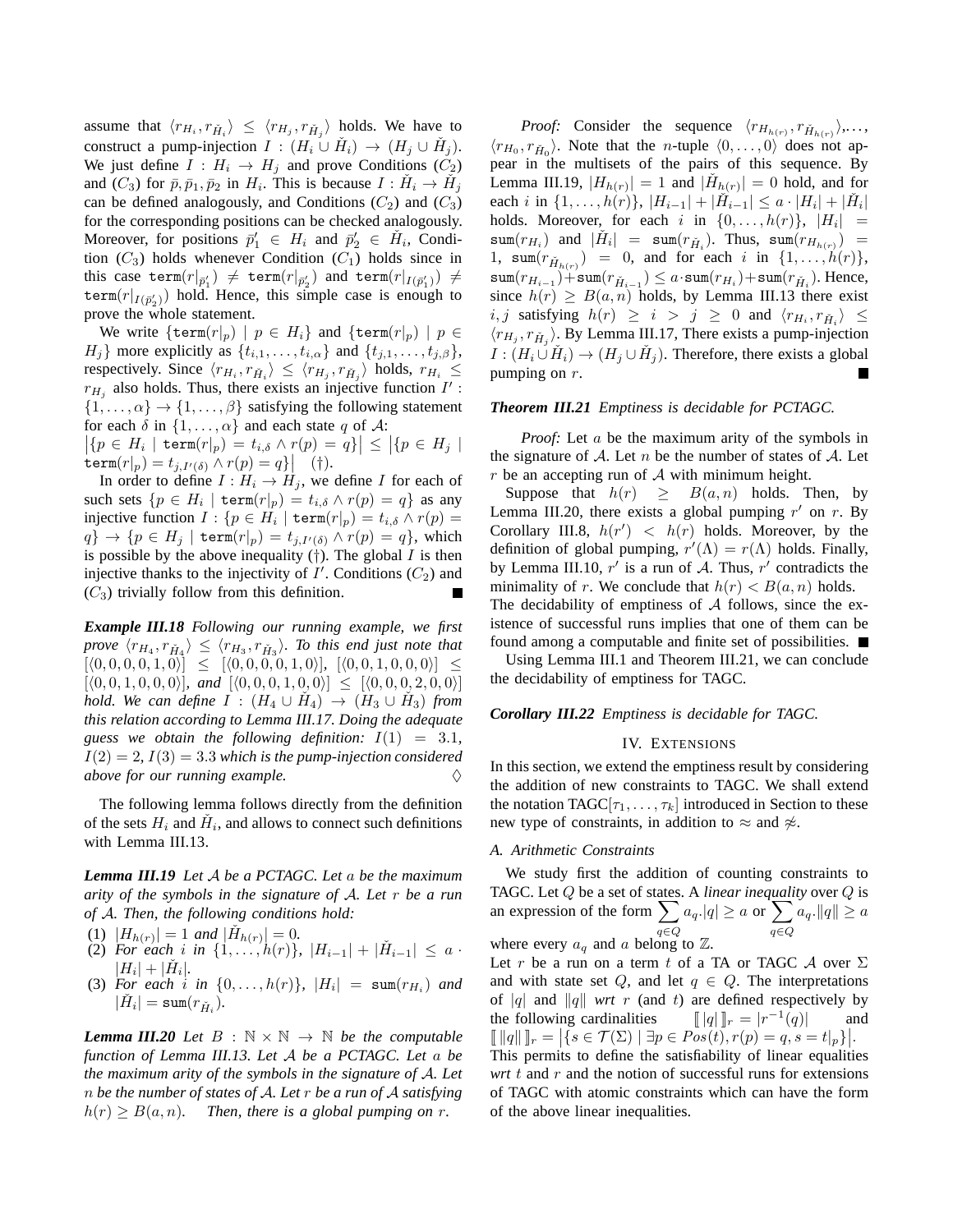assume that  $\langle r_{H_i}, r_{\check{H}_i} \rangle \leq \langle r_{H_j}, r_{\check{H}_j} \rangle$  holds. We have to construct a pump-injection  $I: (H_i \cup \check{H}_i) \to (H_j \cup \check{H}_j)$ . We just define  $I : H_i \rightarrow H_j$  and prove Conditions  $(C_2)$ and  $(C_3)$  for  $\bar{p}, \bar{p}_1, \bar{p}_2$  in  $H_i$ . This is because  $I : H_i \to H_j$ can be defined analogously, and Conditions  $(C_2)$  and  $(C_3)$ for the corresponding positions can be checked analogously. Moreover, for positions  $\bar{p}'_1 \in H_i$  and  $\bar{p}'_2 \in \check{H}_i$ , Condition  $(C_3)$  holds whenever Condition  $(C_1)$  holds since in this case term $(r|_{\bar{p}'_1})$   $\neq$  term $(r|_{\bar{p}'_2})$  and term $(r|_{I(\bar{p}'_1)})$   $\neq$  $\text{term}(r|_{I(\bar{p}'_2)})$  hold. Hence, this simple case is enough to prove the whole statement.

We write  $\{\texttt{term}(r|_p) \mid p \in H_i\}$  and  $\{\texttt{term}(r|_p) \mid p \in H_i\}$  $H_i$ } more explicitly as  $\{t_{i,1}, \ldots, t_{i,\alpha}\}\$  and  $\{t_{j,1}, \ldots, t_{j,\beta}\}\$ , respectively. Since  $\langle r_{H_i}, r_{\check{H}_i} \rangle \leq \langle r_{H_j}, r_{\check{H}_j} \rangle$  holds,  $r_{H_i} \leq$  $r_{H_j}$  also holds. Thus, there exists an injective function  $I'$ :  $\{1,\ldots,\alpha\} \rightarrow \{1,\ldots,\beta\}$  satisfying the following statement for each  $\delta$  in  $\{1, \ldots, \alpha\}$  and each state q of A:

 $\left| \{ p \in H_i \mid \mathtt{term}(r|_p) = t_{i,\delta} \wedge r(p) = q \} \right| \leq \left| \{ p \in H_j \mid \} \right|$  $\texttt{term}(r|_p) = t_{j,I'(\delta)} \wedge r(p) = q \}$  (†).

In order to define  $I: H_i \to H_j$ , we define I for each of such sets  $\{p \in H_i \mid \mathtt{term}(r|_p) = t_{i, \delta} \wedge r(p) = q\}$  as any injective function  $I: \{p \in H_i \mid \mathtt{term}(r|_p) = t_{i,\delta} \wedge r(p) = 1\}$  $q\} \rightarrow \{p \in H_j \mid \text{term}(r|_p) = t_{j,I'(\delta)} \wedge r(p) = q\},\$  which is possible by the above inequality  $(\dagger)$ . The global I is then injective thanks to the injectivity of  $I'$ . Conditions  $(C_2)$  and  $(C_3)$  trivially follow from this definition.

*Example III.18 Following our running example, we first prove*  $\langle r_{H_4}, r_{\check{H}_4} \rangle \leq \langle r_{H_3}, r_{\check{H}_3} \rangle$ . To this end just note that  $[\langle 0, 0, 0, 0, 1, 0 \rangle] \leq [\langle 0, 0, 0, 0, 1, 0 \rangle], [\langle 0, 0, 1, 0, 0, 0 \rangle] \leq$  $[\langle 0, 0, 1, 0, 0, 0 \rangle]$ *, and*  $[\langle 0, 0, 0, 1, 0, 0 \rangle] \leq [\langle 0, 0, 0, 2, 0, 0 \rangle]$ *hold. We can define*  $I : (H_4 \cup \check{H}_4) \rightarrow (H_3 \cup \check{H}_3)$  *from this relation according to Lemma III.17. Doing the adequate guess we obtain the following definition:*  $I(1) = 3.1$ ,  $I(2) = 2$ ,  $I(3) = 3.3$  *which is the pump-injection considered above for our running example.*  $\Diamond$ 

The following lemma follows directly from the definition of the sets  $H_i$  and  $\check{H}_i$ , and allows to connect such definitions with Lemma III.13.

*Lemma III.19 Let* A *be a PCTAGC. Let* a *be the maximum arity of the symbols in the signature of* A*. Let* r *be a run of* A*. Then, the following conditions hold:*

- (1)  $|H_{h(r)}| = 1$  and  $|\check{H}_{h(r)}| = 0$ .
- (2) *For each* i in  $\{1, \ldots, h(r)\}$ ,  $|H_{i-1}| + |\tilde{H}_{i-1}| \leq a$ .  $|H_i| + |\check{H}_i|.$
- (3) *For each i* in  $\{0, \ldots, h(r)\}, |H_i| = \text{sum}(r_{H_i})$  and  $|\check{H}_i| = \texttt{sum}(r_{\check{H}_i}).$

*Lemma III.20* Let  $B : \mathbb{N} \times \mathbb{N} \rightarrow \mathbb{N}$  be the computable *function of Lemma III.13. Let* A *be a PCTAGC. Let* a *be the maximum arity of the symbols in the signature of* A*. Let* n *be the number of states of* A*. Let* r *be a run of* A *satisfying*  $h(r) \geq B(a, n)$ . Then, there is a global pumping on r.

*Proof:* Consider the sequence  $\langle r_{H_{h(r)}}, r_{\tilde{H}_{h(r)}} \rangle$ ,...,  $\langle r_{H_0}, r_{\tilde{H}_0} \rangle$ . Note that the *n*-tuple  $\langle 0, \ldots, 0 \rangle$  does not appear in the multisets of the pairs of this sequence. By Lemma III.19,  $|H_{h(r)}| = 1$  and  $|\check{H}_{h(r)}| = 0$  hold, and for each *i* in {1,...,  $h(r)$ },  $|H_{i-1}| + |\tilde{H}_{i-1}| \le a \cdot |H_i| + |\tilde{H}_i|$ holds. Moreover, for each i in  $\{0, \ldots, h(r)\}, |H_i| =$  $\text{sum}(r_{H_i})$  and  $|\check{H}_i| = \text{sum}(r_{\check{H}_i})$ . Thus,  $\text{sum}(r_{H_{h(r)}}) =$ 1, sum $(r_{\check{H}_{h(r)}}) = 0$ , and for each i in  $\{1, \ldots, h(r)\},$  $\texttt{sum}(r_{H_{i-1}}) + \texttt{sum}(r_{\check{H}_{i-1}}) \leq a \cdot \texttt{sum}(r_{H_i}) + \texttt{sum}(r_{\check{H}_i}).$  Hence, since  $h(r) \geq B(a, n)$  holds, by Lemma III.13 there exist  $i, j$  satisfying  $h(r) \ge i > j \ge 0$  and  $\langle r_{H_i}, r_{\check{H}_i} \rangle \le$  $\langle r_{H_j}, r_{\tilde{H}_j} \rangle$ . By Lemma III.17, There exists a pump-injection  $I: (H_i \cup \check{H}_i) \to (H_j \cup \check{H}_j)$ . Therefore, there exists a global pumping on r.

#### *Theorem III.21 Emptiness is decidable for PCTAGC.*

*Proof:* Let a be the maximum arity of the symbols in the signature of A. Let  $n$  be the number of states of A. Let  $r$  be an accepting run of  $A$  with minimum height.

Suppose that  $h(r) \geq B(a, n)$  holds. Then, by Lemma III.20, there exists a global pumping  $r'$  on  $r$ . By Corollary III.8,  $h(r') < h(r)$  holds. Moreover, by the definition of global pumping,  $r'(\Lambda) = r(\Lambda)$  holds. Finally, by Lemma III.10,  $r'$  is a run of A. Thus,  $r'$  contradicts the minimality of r. We conclude that  $h(r) < B(a, n)$  holds. The decidability of emptiness of  $A$  follows, since the ex-

istence of successful runs implies that one of them can be found among a computable and finite set of possibilities.

Using Lemma III.1 and Theorem III.21, we can conclude the decidability of emptiness for TAGC.

#### *Corollary III.22 Emptiness is decidable for TAGC.*

#### IV. EXTENSIONS

In this section, we extend the emptiness result by considering the addition of new constraints to TAGC. We shall extend the notation TAGC[ $\tau_1, \ldots, \tau_k$ ] introduced in Section to these new type of constraints, in addition to  $\approx$  and  $\approx$ .

#### *A. Arithmetic Constraints*

We study first the addition of counting constraints to TAGC. Let Q be a set of states. A *linear inequality* over Q is an expression of the form  $\sum$ q∈Q  $a_q.|q|\geq a \text{ or } \sum$ q∈Q  $a_q.$ || $q$ ||  $\geq a$ where every  $a_q$  and a belong to  $\mathbb{Z}$ .

Let r be a run on a term t of a TA or TAGC  $\mathcal A$  over  $\Sigma$ and with state set Q, and let  $q \in Q$ . The interpretations of  $|q|$  and  $||q||$  *wrt* r (and t) are defined respectively by the following cardinalities  $^{-1}(q)$  and  $\llbracket \|\|q\|\rrbracket_r = |\{s \in \mathcal{T}(\Sigma) \mid \exists p \in Pos(t), r(p) = q, s = t|_p\}|.$ 

This permits to define the satisfiability of linear equalities *wrt* t and r and the notion of successful runs for extensions of TAGC with atomic constraints which can have the form of the above linear inequalities.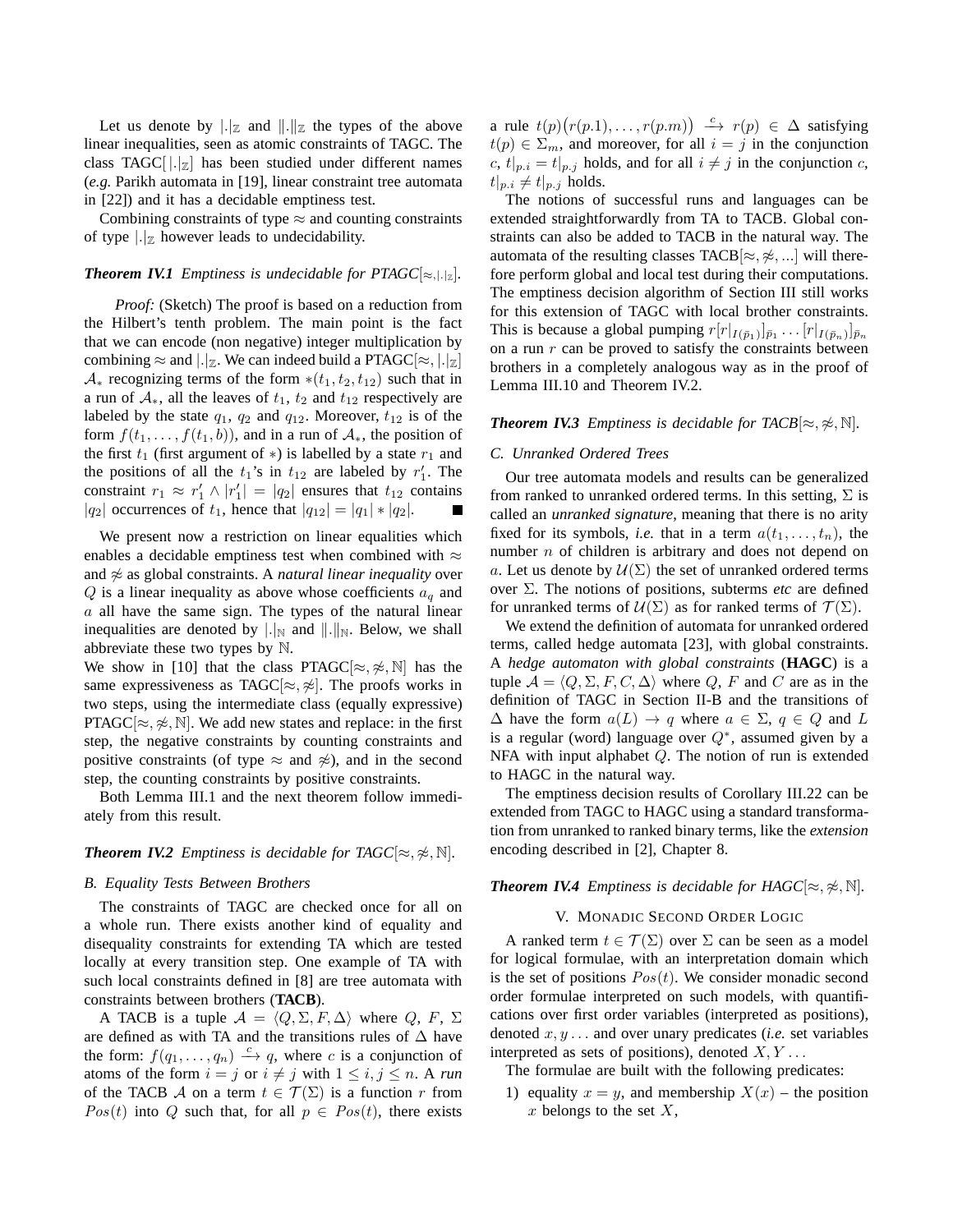Let us denote by  $\lfloor \cdot \rfloor_{\mathbb{Z}}$  and  $\lfloor \cdot \rfloor_{\mathbb{Z}}$  the types of the above linear inequalities, seen as atomic constraints of TAGC. The class TAGC $[ \cdot |z|]$  has been studied under different names (*e.g.* Parikh automata in [19], linear constraint tree automata in [22]) and it has a decidable emptiness test.

Combining constraints of type  $\approx$  and counting constraints of type  $\lfloor \cdot \rfloor_{\mathbb{Z}}$  however leads to undecidability.

#### *Theorem IV.1 Emptiness is undecidable for PTAGC*[ $\approx$ , $|.\downarrow_{\mathbb{Z}}|$ *.*

*Proof:* (Sketch) The proof is based on a reduction from the Hilbert's tenth problem. The main point is the fact that we can encode (non negative) integer multiplication by combining  $\approx$  and  $|.|_{{\mathbb{Z}}}$ . We can indeed build a PTAGC[ $\approx$ ,  $|.|_{{\mathbb{Z}}}\rangle$  $\mathcal{A}_{*}$  recognizing terms of the form  $*(t_1, t_2, t_{12})$  such that in a run of  $A_*$ , all the leaves of  $t_1$ ,  $t_2$  and  $t_{12}$  respectively are labeled by the state  $q_1$ ,  $q_2$  and  $q_{12}$ . Moreover,  $t_{12}$  is of the form  $f(t_1, \ldots, f(t_1, b))$ , and in a run of  $\mathcal{A}_*$ , the position of the first  $t_1$  (first argument of \*) is labelled by a state  $r_1$  and the positions of all the  $t_1$ 's in  $t_{12}$  are labeled by  $r'_1$ . The constraint  $r_1 \approx r_1' \wedge |r_1'| = |q_2|$  ensures that  $t_{12}$  contains | $|q_2|$  occurrences of  $t_1$ , hence that  $|q_{12}| = |q_1| * |q_2|$ .

We present now a restriction on linear equalities which enables a decidable emptiness test when combined with  $\approx$ and 6≈ as global constraints. A *natural linear inequality* over  $Q$  is a linear inequality as above whose coefficients  $a_q$  and a all have the same sign. The types of the natural linear inequalities are denoted by  $\lVert \cdot \rVert_N$  and  $\lVert \cdot \rVert_N$ . Below, we shall abbreviate these two types by N.

We show in [10] that the class PTAGC[ $\approx, \approx, \mathbb{N}$ ] has the same expressiveness as TAGC $[\approx, \approx]$ . The proofs works in two steps, using the intermediate class (equally expressive) PTAGC[ $\approx$ ,  $\approx$ , N]. We add new states and replace: in the first step, the negative constraints by counting constraints and positive constraints (of type  $\approx$  and  $\approx$ ), and in the second step, the counting constraints by positive constraints.

Both Lemma III.1 and the next theorem follow immediately from this result.

#### *Theorem IV.2 Emptiness is decidable for TAGC*[ $\approx$ ,  $\approx$ , N].

#### *B. Equality Tests Between Brothers*

The constraints of TAGC are checked once for all on a whole run. There exists another kind of equality and disequality constraints for extending TA which are tested locally at every transition step. One example of TA with such local constraints defined in [8] are tree automata with constraints between brothers (**TACB**).

A TACB is a tuple  $A = \langle Q, \Sigma, F, \Delta \rangle$  where  $Q, F, \Sigma$ are defined as with TA and the transitions rules of ∆ have the form:  $f(q_1, \ldots, q_n) \stackrel{c}{\longrightarrow} q$ , where c is a conjunction of atoms of the form  $i = j$  or  $i \neq j$  with  $1 \leq i, j \leq n$ . A *run* of the TACB A on a term  $t \in \mathcal{T}(\Sigma)$  is a function r from  $Pos(t)$  into Q such that, for all  $p \in Pos(t)$ , there exists

a rule  $t(p)(r(p,1), \ldots, r(p,m)) \stackrel{c}{\longrightarrow} r(p) \in \Delta$  satisfying  $t(p) \in \Sigma_m$ , and moreover, for all  $i = j$  in the conjunction c,  $t|_{p,i} = t|_{p,j}$  holds, and for all  $i \neq j$  in the conjunction c,  $t|_{p,i} \neq t|_{p,j}$  holds.

The notions of successful runs and languages can be extended straightforwardly from TA to TACB. Global constraints can also be added to TACB in the natural way. The automata of the resulting classes TACB $[\approx, \approx, ...]$  will therefore perform global and local test during their computations. The emptiness decision algorithm of Section III still works for this extension of TAGC with local brother constraints. This is because a global pumping  $r[r|_{I(\bar{p}_1)}]_{\bar{p}_1} \dots [r|_{I(\bar{p}_n)}]_{\bar{p}_n}$ on a run  $r$  can be proved to satisfy the constraints between brothers in a completely analogous way as in the proof of Lemma III.10 and Theorem IV.2.

#### *Theorem IV.3 Emptiness is decidable for TACB*[ $\approx$ ,  $\approx$ , N].

#### *C. Unranked Ordered Trees*

Our tree automata models and results can be generalized from ranked to unranked ordered terms. In this setting,  $\Sigma$  is called an *unranked signature*, meaning that there is no arity fixed for its symbols, *i.e.* that in a term  $a(t_1, \ldots, t_n)$ , the number *n* of children is arbitrary and does not depend on a. Let us denote by  $\mathcal{U}(\Sigma)$  the set of unranked ordered terms over Σ. The notions of positions, subterms *etc* are defined for unranked terms of  $\mathcal{U}(\Sigma)$  as for ranked terms of  $\mathcal{T}(\Sigma)$ .

We extend the definition of automata for unranked ordered terms, called hedge automata [23], with global constraints. A *hedge automaton with global constraints* (**HAGC**) is a tuple  $A = \langle Q, \Sigma, F, C, \Delta \rangle$  where Q, F and C are as in the definition of TAGC in Section II-B and the transitions of  $\Delta$  have the form  $a(L) \rightarrow q$  where  $a \in \Sigma$ ,  $q \in Q$  and L is a regular (word) language over  $Q^*$ , assumed given by a NFA with input alphabet Q. The notion of run is extended to HAGC in the natural way.

The emptiness decision results of Corollary III.22 can be extended from TAGC to HAGC using a standard transformation from unranked to ranked binary terms, like the *extension* encoding described in [2], Chapter 8.

#### *Theorem IV.4 Emptiness is decidable for HAGC*[ $\approx$ ,  $\approx$ , N].

#### V. MONADIC SECOND ORDER LOGIC

A ranked term  $t \in \mathcal{T}(\Sigma)$  over  $\Sigma$  can be seen as a model for logical formulae, with an interpretation domain which is the set of positions  $Pos(t)$ . We consider monadic second order formulae interpreted on such models, with quantifications over first order variables (interpreted as positions), denoted  $x, y, \ldots$  and over unary predicates (*i.e.* set variables interpreted as sets of positions), denoted  $X, Y \dots$ 

The formulae are built with the following predicates:

1) equality  $x = y$ , and membership  $X(x)$  – the position  $x$  belongs to the set  $X$ ,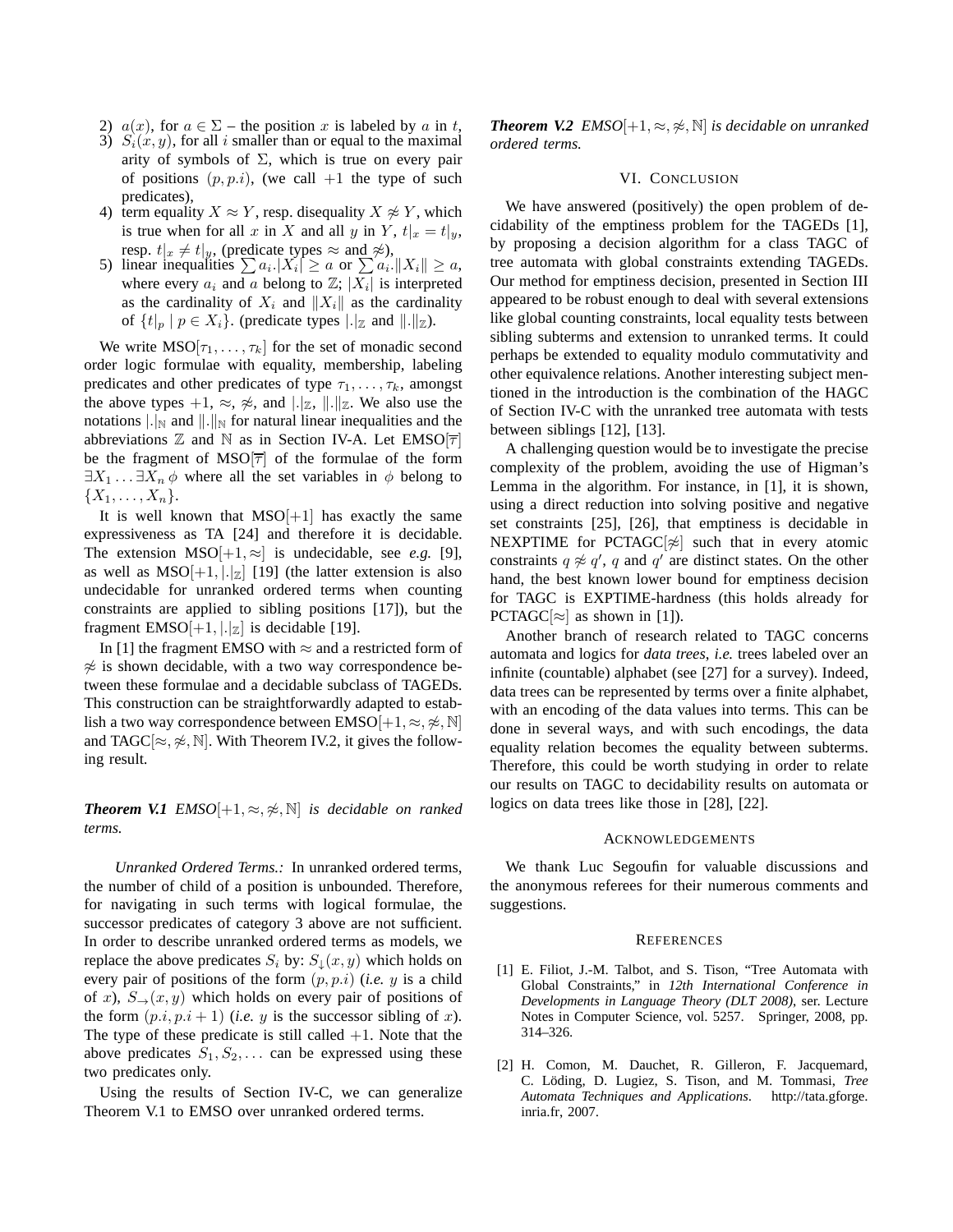- 2)  $a(x)$ , for  $a \in \Sigma$  the position x is labeled by a in t,
- 3)  $S_i(x, y)$ , for all i smaller than or equal to the maximal arity of symbols of  $\Sigma$ , which is true on every pair of positions  $(p, p.i)$ , (we call  $+1$  the type of such predicates),
- 4) term equality  $X \approx Y$ , resp. disequality  $X \not\approx Y$ , which is true when for all x in X and all y in Y,  $t|x = t|y$ , resp.  $t|x \neq t|y$ , (predicate types  $\approx$  and  $\approx$ ),
- 5) linear inequalities  $\sum a_i |X_i| \ge a$  or  $\sum a_i ||X_i|| \ge a$ , where every  $a_i$  and a belong to  $\mathbb{Z}$ ;  $|\overline{X_i}|$  is interpreted as the cardinality of  $X_i$  and  $||X_i||$  as the cardinality of  $\{t|_p \mid p \in X_i\}$ . (predicate types  $\lfloor \cdot |z| \rfloor$  and  $\lfloor \cdot |z| \rfloor$ .

We write  $MSO[\tau_1, \ldots, \tau_k]$  for the set of monadic second order logic formulae with equality, membership, labeling predicates and other predicates of type  $\tau_1, \ldots, \tau_k$ , amongst the above types  $+1, \approx, \frac{\cancel{\alpha}}{\cancel{\alpha}}$ , and  $\vert \cdot \vert \mathbb{Z}, \Vert \cdot \Vert \mathbb{Z}$ . We also use the notations  $\| \cdot \|_{\mathbb{N}}$  and  $\| \cdot \|_{\mathbb{N}}$  for natural linear inequalities and the abbreviations  $\mathbb Z$  and  $\mathbb N$  as in Section IV-A. Let EMSO $\boxed{\overline{\tau}}$ be the fragment of  $MSO[\overline{\tau}]$  of the formulae of the form  $\exists X_1 \dots \exists X_n \phi$  where all the set variables in  $\phi$  belong to  ${X_1, \ldots, X_n}.$ 

It is well known that  $MSO[+1]$  has exactly the same expressiveness as TA [24] and therefore it is decidable. The extension MSO $[+1, \infty]$  is undecidable, see *e.g.* [9], as well as  $MSO[+1, |z|]$  [19] (the latter extension is also undecidable for unranked ordered terms when counting constraints are applied to sibling positions [17]), but the fragment EMSO $[+1, |.|_{{\mathbb{Z}}}]$  is decidable [19].

In [1] the fragment EMSO with  $\approx$  and a restricted form of  $\approx$  is shown decidable, with a two way correspondence between these formulae and a decidable subclass of TAGEDs. This construction can be straightforwardly adapted to establish a two way correspondence between EMSO $[+1, \approx, \nless, \mathbb{N}]$ and TAGC[ $\approx, \approx, \mathbb{N}$ ]. With Theorem IV.2, it gives the following result.

*Theorem V.1 EMSO* $[+1, \approx, \nless, \mathbb{N}]$  *is decidable on ranked terms.*

*Unranked Ordered Terms.:* In unranked ordered terms, the number of child of a position is unbounded. Therefore, for navigating in such terms with logical formulae, the successor predicates of category 3 above are not sufficient. In order to describe unranked ordered terms as models, we replace the above predicates  $S_i$  by:  $S_{\perp}(x, y)$  which holds on every pair of positions of the form  $(p, p, i)$  (*i.e.* y is a child of x),  $S_{\rightarrow}(x, y)$  which holds on every pair of positions of the form  $(p.i, p.i + 1)$  (*i.e.* y is the successor sibling of x). The type of these predicate is still called  $+1$ . Note that the above predicates  $S_1, S_2, \ldots$  can be expressed using these two predicates only.

Using the results of Section IV-C, we can generalize Theorem V.1 to EMSO over unranked ordered terms.

*Theorem V.2 EMSO* $[+1, \approx, \nless, \mathbb{N}]$  *is decidable on unranked ordered terms.*

#### VI. CONCLUSION

We have answered (positively) the open problem of decidability of the emptiness problem for the TAGEDs [1], by proposing a decision algorithm for a class TAGC of tree automata with global constraints extending TAGEDs. Our method for emptiness decision, presented in Section III appeared to be robust enough to deal with several extensions like global counting constraints, local equality tests between sibling subterms and extension to unranked terms. It could perhaps be extended to equality modulo commutativity and other equivalence relations. Another interesting subject mentioned in the introduction is the combination of the HAGC of Section IV-C with the unranked tree automata with tests between siblings [12], [13].

A challenging question would be to investigate the precise complexity of the problem, avoiding the use of Higman's Lemma in the algorithm. For instance, in [1], it is shown, using a direct reduction into solving positive and negative set constraints [25], [26], that emptiness is decidable in NEXPTIME for PCTAGC $[\napprox]$  such that in every atomic constraints  $q \not\approx q'$ , q and q' are distinct states. On the other hand, the best known lower bound for emptiness decision for TAGC is EXPTIME-hardness (this holds already for  $PCTAGC[\approx]$  as shown in [1]).

Another branch of research related to TAGC concerns automata and logics for *data trees*, *i.e.* trees labeled over an infinite (countable) alphabet (see [27] for a survey). Indeed, data trees can be represented by terms over a finite alphabet, with an encoding of the data values into terms. This can be done in several ways, and with such encodings, the data equality relation becomes the equality between subterms. Therefore, this could be worth studying in order to relate our results on TAGC to decidability results on automata or logics on data trees like those in [28], [22].

#### ACKNOWLEDGEMENTS

We thank Luc Segoufin for valuable discussions and the anonymous referees for their numerous comments and suggestions.

#### **REFERENCES**

- [1] E. Filiot, J.-M. Talbot, and S. Tison, "Tree Automata with Global Constraints," in *12th International Conference in Developments in Language Theory (DLT 2008)*, ser. Lecture Notes in Computer Science, vol. 5257. Springer, 2008, pp. 314–326.
- [2] H. Comon, M. Dauchet, R. Gilleron, F. Jacquemard, C. L¨oding, D. Lugiez, S. Tison, and M. Tommasi, *Tree Automata Techniques and Applications*. http://tata.gforge. inria.fr, 2007.